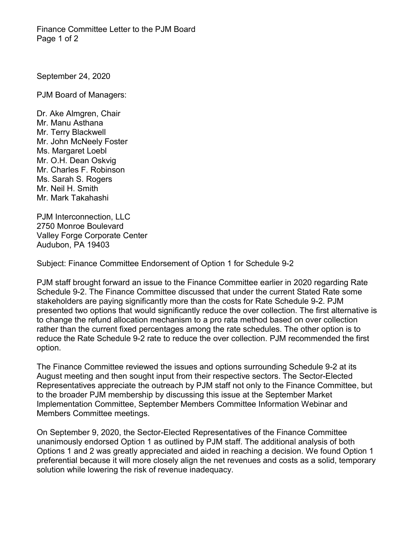Finance Committee Letter to the PJM Board Page 1 of 2

September 24, 2020

PJM Board of Managers:

Dr. Ake Almgren, Chair Mr. Manu Asthana Mr. Terry Blackwell Mr. John McNeely Foster Ms. Margaret Loebl Mr. O.H. Dean Oskvig Mr. Charles F. Robinson Ms. Sarah S. Rogers Mr. Neil H. Smith Mr. Mark Takahashi

PJM Interconnection, LLC 2750 Monroe Boulevard Valley Forge Corporate Center Audubon, PA 19403

Subject: Finance Committee Endorsement of Option 1 for Schedule 9-2

PJM staff brought forward an issue to the Finance Committee earlier in 2020 regarding Rate Schedule 9-2. The Finance Committee discussed that under the current Stated Rate some stakeholders are paying significantly more than the costs for Rate Schedule 9-2. PJM presented two options that would significantly reduce the over collection. The first alternative is to change the refund allocation mechanism to a pro rata method based on over collection rather than the current fixed percentages among the rate schedules. The other option is to reduce the Rate Schedule 9-2 rate to reduce the over collection. PJM recommended the first option.

The Finance Committee reviewed the issues and options surrounding Schedule 9-2 at its August meeting and then sought input from their respective sectors. The Sector-Elected Representatives appreciate the outreach by PJM staff not only to the Finance Committee, but to the broader PJM membership by discussing this issue at the September Market Implementation Committee, September Members Committee Information Webinar and Members Committee meetings.

On September 9, 2020, the Sector-Elected Representatives of the Finance Committee unanimously endorsed Option 1 as outlined by PJM staff. The additional analysis of both Options 1 and 2 was greatly appreciated and aided in reaching a decision. We found Option 1 preferential because it will more closely align the net revenues and costs as a solid, temporary solution while lowering the risk of revenue inadequacy.